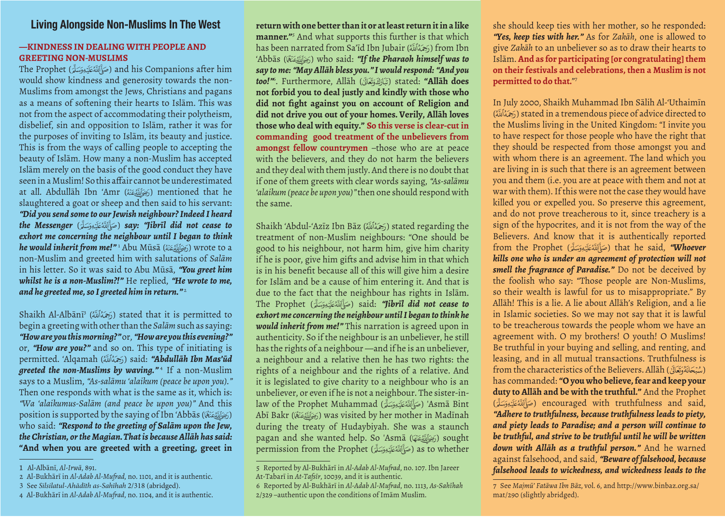# **Living Alongside Non-Muslims In The West**

### **—KINDNESS IN DEALING WITH PEOPLE AND GREETING NON-MUSLIMS**

The Prophet (صَيَآَتِهُ هَنَدَةٌ) and his Companions after him would show kindness and generosity towards the non-Muslims from amongst the Jews, Christians and pagans as a means of softening their hearts to Islām. This was not from the aspect of accommodating their polytheism, disbelief, sin and opposition to Islām, rather it was for the purposes of inviting to Islām, its beauty and justice. This is from the ways of calling people to accepting the beauty of Islām. How many a non-Muslim has accepted Islām merely on the basis of the good conduct they have seen in a Muslim! So this affair cannot be underestimated at all. Abdullāh Ibn 'Amr (بَعَالَلَهُ عَنْهُ) mentioned that he slaughtered a goat or sheep and then said to his servant: *"Did you send some to our Jewish neighbour? Indeed I heard the Messenger* (H) *say: "Jibrīl did not cease to exhort me concerning the neighbour until I began to think*   $\bm{h}$ e would in $\bm{h}$ erit from me!"  $^{\mathrm{n}}$  Abu Mūsā (نَجَوْلَاتَيْمَنْهُ) wrote to a non-Muslim and greeted him with salutations of *Salām* in his letter. So it was said to Abu Mūsā, *"You greet him whilst he is a non-Muslim?!"* He replied, *"He wrote to me, and he greeted me, so I greeted him in return."* <sup>2</sup>

Shaikh Al-Albānīʾ (کؘجَهُٱللَّة) stated that it is permitted to begin a greeting with other than the *Salām* such as saying: *"How are you this morning?"* or, *"How are you this evening?"* or, *"How are you?"* and so on. This type of initiating is permitted. 'Alqamah (V) said: *"Abdullāh Ibn Mas'ūd greeted the non-Muslims by waving."* <sup>4</sup> If a non-Muslim says to a Muslim, *"As-salāmu 'alaikum (peace be upon you)."* Then one responds with what is the same as it, which is: *"Wa 'alaikumus-Salām (and peace be upon you)"* And this position is supported by the saying of Ibn 'Abbas (( $\epsilon$ who said: *"Respond to the greeting of Salām upon the Jew, the Christian, or the Magian. That is because Allāh has said:*  **"And when you are greeted with a greeting, greet in** 

**return with one better than it or at least return it in a like manner."**<sup>5</sup> And what supports this further is that which has been narrated from Sa'īd Ibn Jubair (V) from Ibn 'Abbās (L) who said: *"If the Pharaoh himself was to say to me: "May Allāh bless you." I would respond: "And you too!"*<sup>6</sup> . Furthermore, Allāh (F) stated: **"Allāh does not forbid you to deal justly and kindly with those who did not fight against you on account of Religion and did not drive you out of your homes. Verily, Allāh loves those who deal with equity." So this verse is clear-cut in commanding good treatment of the unbelievers from amongst fellow countrymen** –those who are at peace with the believers, and they do not harm the believers and they deal with them justly. And there is no doubt that if one of them greets with clear words saying, *"As-salāmu 'alaikum (peace be upon you)"* then one should respond with the same.

Shaikh 'Abdul-'Azīz Ibn Bāz (V) stated regarding the treatment of non-Muslim neighbours: "One should be good to his neighbour, not harm him, give him charity if he is poor, give him gifts and advise him in that which is in his benefit because all of this will give him a desire for Islām and be a cause of him entering it. And that is due to the fact that the neighbour has rights in Islām. The Prophet (H) said: *"Jibrīl did not cease to exhort me concerning the neighbour until I began to think he would inherit from me!"* This narration is agreed upon in authenticity. So if the neighbour is an unbeliever, he still has the rights of a neighbour —and if he is an unbeliever, a neighbour and a relative then he has two rights: the rights of a neighbour and the rights of a relative. And it is legislated to give charity to a neighbour who is an unbeliever, or even if he is not a neighbour. The sister-inlaw of the Prophet Muhammad (H) 'Asmā Bint Abī Bakr (كَوْاَللَّهُ عَنْهُا) was visited by her mother in Madīnah during the treaty of Hudaybiyah. She was a staunch pagan and she wanted help. So 'Asmā (خِهَأَللَّهُجَنَّهَا) sought permission from the Prophet (صَأَلِّلَهُ عَلَيْهِ وَسَلَّمَ) as to whether

she should keep ties with her mother, so he responded: *"Yes, keep ties with her."* As for *Zakāh*, one is allowed to give *Zakāh* to an unbeliever so as to draw their hearts to Islām. **And as for participating [or congratulating] them on their festivals and celebrations, then a Muslim is not permitted to do that.**" 7

In July 2000, Shaikh Muhammad Ibn Sālih Al-'Uthaimīn (V) stated in a tremendous piece of advice directed to the Muslims living in the United Kingdom: "I invite you to have respect for those people who have the right that they should be respected from those amongst you and with whom there is an agreement. The land which you are living in is such that there is an agreement between you and them (i.e. you are at peace with them and not at war with them). If this were not the case they would have killed you or expelled you. So preserve this agreement, and do not prove treacherous to it, since treachery is a sign of the hypocrites, and it is not from the way of the Believers. And know that it is authentically reported from the Prophet (H) that he said, *"Whoever kills one who is under an agreement of protection will not smell the fragrance of Paradise."* Do not be deceived by the foolish who say: "Those people are Non-Muslims, so their wealth is lawful for us to misappropriate." By Allāh! This is a lie. A lie about Allāh's Religion, and a lie in Islamic societies. So we may not say that it is lawful to be treacherous towards the people whom we have an agreement with. O my brothers! O youth! O Muslims! Be truthful in your buying and selling, and renting, and leasing, and in all mutual transactions. Truthfulness is from the characteristics of the Believers. Allāh (شُبْحَانَهُوَتَعَالَى) has commanded: **"O you who believe, fear and keep your duty to Allāh and be with the truthful."** And the Prophet (صَيَّالِّلَّهُ عَلَيْهِ وَسَلَّمَ) encouraged with truthfulness and said, *"Adhere to truthfulness, because truthfulness leads to piety, and piety leads to Paradise; and a person will continue to be truthful, and strive to be truthful until he will be written down with Allāh as a truthful person."* And he warned against falsehood, and said, *"Beware of falsehood, because falsehood leads to wickedness, and wickedness leads to the* 

<sup>1</sup> Al-Albānī, *Al-Irwā*, 891.

<sup>2</sup> Al-Bukhārī in *Al-Adab Al-Mufrad,* no. 1101, and it is authentic.

<sup>3</sup> See *Silsilatul-Ahādīth as-Sahīhah* 2/318 (abridged).

<sup>4</sup> Al-Bukhārī in *Al-Adab Al-Mufrad*, no. 1104, and it is authentic.

<sup>5</sup> Reported by Al-Bukhārī in *Al-Adab Al-Mufrad*, no. 107. Ibn Jareer At-Tabarī in *At-Tafsīr*, 10039, and it is authentic.

<sup>6</sup> Reported by Al-Bukhārī in *Al-Adab Al-Mufrad*, no. 1113, *As-Sahīhah* 2/329 –authentic upon the conditions of Imām Muslim.

<sup>7</sup> See *Majmū' Fatāwa Ibn Bāz*, vol. 6, and http://www.binbaz.org.sa/ mat/290 (slightly abridged).